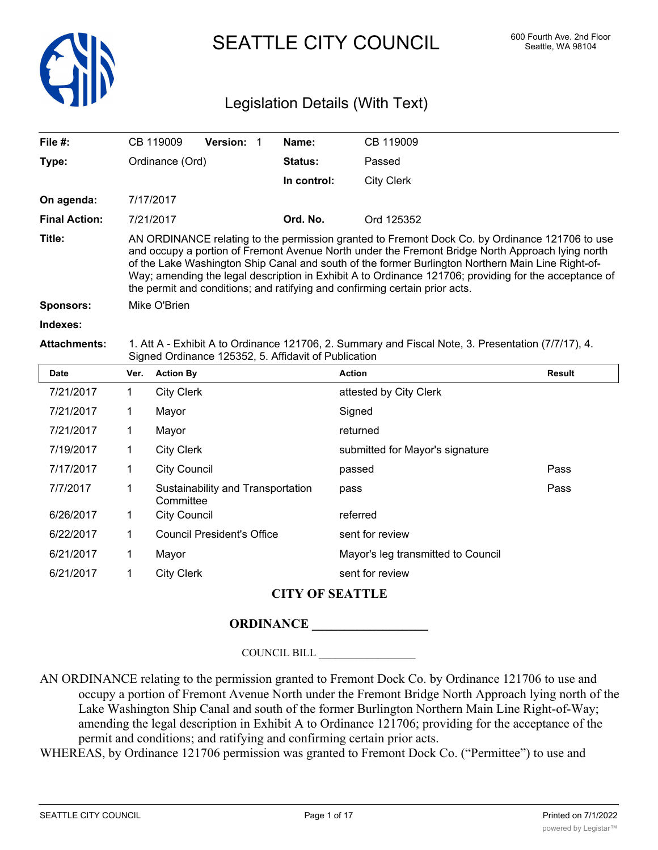

SEATTLE CITY COUNCIL 600 Fourth Ave. 2nd Floor

# Legislation Details (With Text)

| File $#$ :           |                                                                                                                                                            | CB 119009                                                                                                                                                                                                                                                                                                                                                                                                                                                                                       | <b>Version:</b>                   | 1 | Name:          | CB 119009                       |               |  |
|----------------------|------------------------------------------------------------------------------------------------------------------------------------------------------------|-------------------------------------------------------------------------------------------------------------------------------------------------------------------------------------------------------------------------------------------------------------------------------------------------------------------------------------------------------------------------------------------------------------------------------------------------------------------------------------------------|-----------------------------------|---|----------------|---------------------------------|---------------|--|
| Type:                |                                                                                                                                                            | Ordinance (Ord)                                                                                                                                                                                                                                                                                                                                                                                                                                                                                 |                                   |   | <b>Status:</b> | Passed                          |               |  |
|                      |                                                                                                                                                            |                                                                                                                                                                                                                                                                                                                                                                                                                                                                                                 |                                   |   | In control:    | <b>City Clerk</b>               |               |  |
| On agenda:           |                                                                                                                                                            | 7/17/2017                                                                                                                                                                                                                                                                                                                                                                                                                                                                                       |                                   |   |                |                                 |               |  |
| <b>Final Action:</b> |                                                                                                                                                            | 7/21/2017                                                                                                                                                                                                                                                                                                                                                                                                                                                                                       |                                   |   | Ord. No.       | Ord 125352                      |               |  |
| Title:               |                                                                                                                                                            | AN ORDINANCE relating to the permission granted to Fremont Dock Co. by Ordinance 121706 to use<br>and occupy a portion of Fremont Avenue North under the Fremont Bridge North Approach lying north<br>of the Lake Washington Ship Canal and south of the former Burlington Northern Main Line Right-of-<br>Way; amending the legal description in Exhibit A to Ordinance 121706; providing for the acceptance of<br>the permit and conditions; and ratifying and confirming certain prior acts. |                                   |   |                |                                 |               |  |
| <b>Sponsors:</b>     | Mike O'Brien                                                                                                                                               |                                                                                                                                                                                                                                                                                                                                                                                                                                                                                                 |                                   |   |                |                                 |               |  |
| Indexes:             |                                                                                                                                                            |                                                                                                                                                                                                                                                                                                                                                                                                                                                                                                 |                                   |   |                |                                 |               |  |
| <b>Attachments:</b>  | 1. Att A - Exhibit A to Ordinance 121706, 2. Summary and Fiscal Note, 3. Presentation (7/7/17), 4.<br>Signed Ordinance 125352, 5. Affidavit of Publication |                                                                                                                                                                                                                                                                                                                                                                                                                                                                                                 |                                   |   |                |                                 |               |  |
| <b>Date</b>          | Ver.                                                                                                                                                       | <b>Action By</b>                                                                                                                                                                                                                                                                                                                                                                                                                                                                                |                                   |   |                | <b>Action</b>                   | <b>Result</b> |  |
| 7/21/2017            | 1                                                                                                                                                          | <b>City Clerk</b>                                                                                                                                                                                                                                                                                                                                                                                                                                                                               |                                   |   |                | attested by City Clerk          |               |  |
| 7/21/2017            | 1                                                                                                                                                          | Mayor                                                                                                                                                                                                                                                                                                                                                                                                                                                                                           |                                   |   |                | Signed                          |               |  |
| 7/21/2017            | 1                                                                                                                                                          | Mayor                                                                                                                                                                                                                                                                                                                                                                                                                                                                                           |                                   |   |                | returned                        |               |  |
| 7/19/2017            | 1                                                                                                                                                          | <b>City Clerk</b>                                                                                                                                                                                                                                                                                                                                                                                                                                                                               |                                   |   |                | submitted for Mayor's signature |               |  |
| 7/17/2017            | 1                                                                                                                                                          | <b>City Council</b>                                                                                                                                                                                                                                                                                                                                                                                                                                                                             |                                   |   |                | passed                          | Pass          |  |
| 7/7/2017             | 1                                                                                                                                                          |                                                                                                                                                                                                                                                                                                                                                                                                                                                                                                 | Sustainability and Transportation |   |                | pass                            | Pass          |  |

| 7/7/2017  |          | Sustainability and Transportation<br>Committee | pass                               |
|-----------|----------|------------------------------------------------|------------------------------------|
| 6/26/2017 | $\sim$ 1 | City Council                                   | referred                           |
| 6/22/2017 | -1       | Council President's Office                     | sent for review                    |
| 6/21/2017 |          | Mavor                                          | Mayor's leg transmitted to Council |

6/21/2017 1 City Clerk sent for review

## **CITY OF SEATTLE**

## **ORDINANCE \_\_\_\_\_\_\_\_\_\_\_\_\_\_\_\_\_\_**

COUNCIL BILL \_\_\_\_\_\_\_\_\_\_\_\_\_\_\_\_\_\_

AN ORDINANCE relating to the permission granted to Fremont Dock Co. by Ordinance 121706 to use and occupy a portion of Fremont Avenue North under the Fremont Bridge North Approach lying north of the Lake Washington Ship Canal and south of the former Burlington Northern Main Line Right-of-Way; amending the legal description in Exhibit A to Ordinance 121706; providing for the acceptance of the permit and conditions; and ratifying and confirming certain prior acts.

WHEREAS, by Ordinance 121706 permission was granted to Fremont Dock Co. ("Permittee") to use and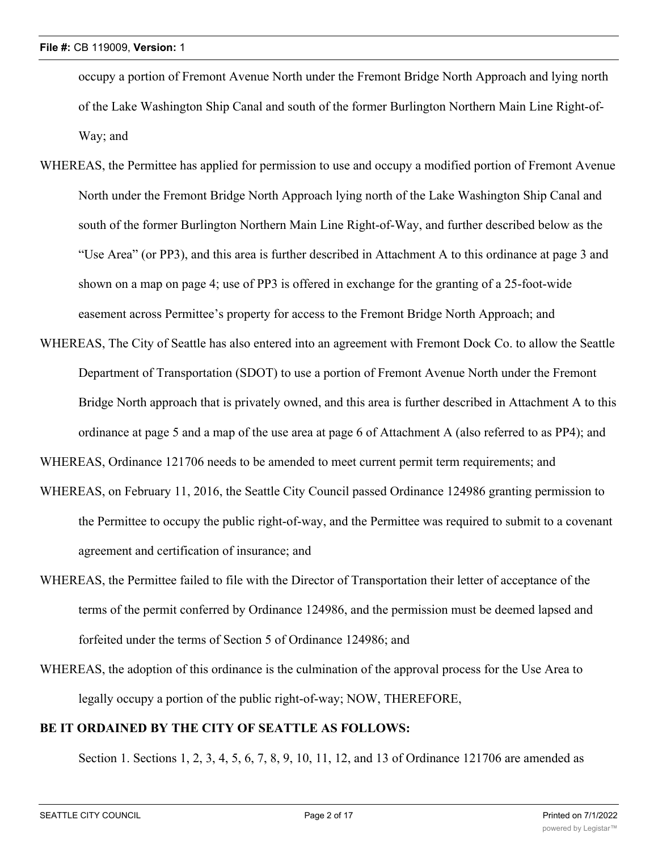occupy a portion of Fremont Avenue North under the Fremont Bridge North Approach and lying north of the Lake Washington Ship Canal and south of the former Burlington Northern Main Line Right-of-Way; and

- WHEREAS, the Permittee has applied for permission to use and occupy a modified portion of Fremont Avenue North under the Fremont Bridge North Approach lying north of the Lake Washington Ship Canal and south of the former Burlington Northern Main Line Right-of-Way, and further described below as the "Use Area" (or PP3), and this area is further described in Attachment A to this ordinance at page 3 and shown on a map on page 4; use of PP3 is offered in exchange for the granting of a 25-foot-wide easement across Permittee's property for access to the Fremont Bridge North Approach; and
- WHEREAS, The City of Seattle has also entered into an agreement with Fremont Dock Co. to allow the Seattle Department of Transportation (SDOT) to use a portion of Fremont Avenue North under the Fremont Bridge North approach that is privately owned, and this area is further described in Attachment A to this ordinance at page 5 and a map of the use area at page 6 of Attachment A (also referred to as PP4); and

WHEREAS, Ordinance 121706 needs to be amended to meet current permit term requirements; and

- WHEREAS, on February 11, 2016, the Seattle City Council passed Ordinance 124986 granting permission to the Permittee to occupy the public right-of-way, and the Permittee was required to submit to a covenant agreement and certification of insurance; and
- WHEREAS, the Permittee failed to file with the Director of Transportation their letter of acceptance of the terms of the permit conferred by Ordinance 124986, and the permission must be deemed lapsed and forfeited under the terms of Section 5 of Ordinance 124986; and
- WHEREAS, the adoption of this ordinance is the culmination of the approval process for the Use Area to legally occupy a portion of the public right-of-way; NOW, THEREFORE,

### **BE IT ORDAINED BY THE CITY OF SEATTLE AS FOLLOWS:**

Section 1. Sections 1, 2, 3, 4, 5, 6, 7, 8, 9, 10, 11, 12, and 13 of Ordinance 121706 are amended as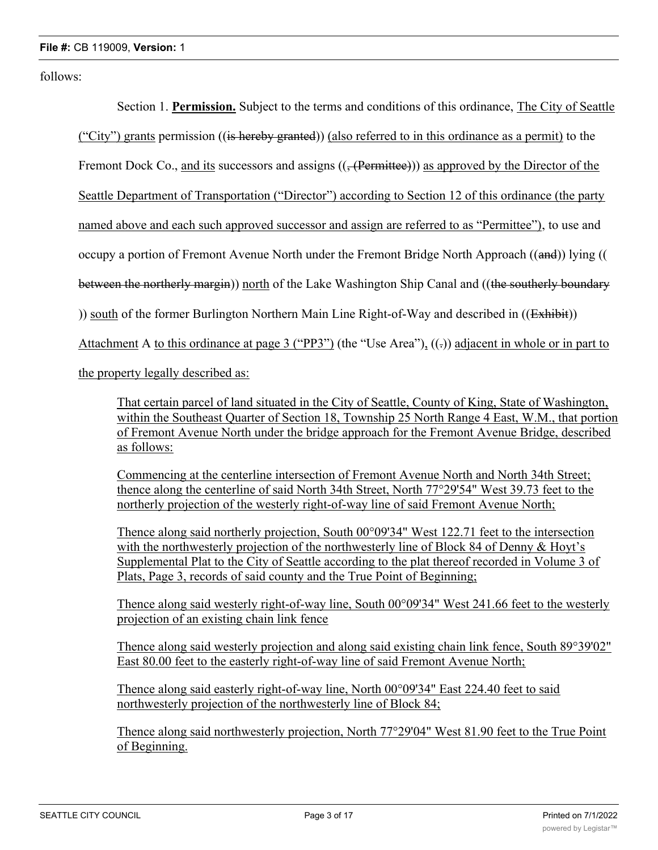follows:

Section 1. **Permission.** Subject to the terms and conditions of this ordinance, The City of Seattle ("City") grants permission ((is hereby granted)) (also referred to in this ordinance as a permit) to the Fremont Dock Co., and its successors and assigns (( $\frac{1}{2}$ (Permittee)) as approved by the Director of the Seattle Department of Transportation ("Director") according to Section 12 of this ordinance (the party named above and each such approved successor and assign are referred to as "Permittee"), to use and occupy a portion of Fremont Avenue North under the Fremont Bridge North Approach ((and)) lying (( between the northerly margin)) north of the Lake Washington Ship Canal and ((the southerly boundary )) south of the former Burlington Northern Main Line Right-of-Way and described in ((Exhibit)) Attachment A to this ordinance at page 3 ("PP3") (the "Use Area"),  $((.)$  adjacent in whole or in part to

the property legally described as:

That certain parcel of land situated in the City of Seattle, County of King, State of Washington, within the Southeast Quarter of Section 18, Township 25 North Range 4 East, W.M., that portion of Fremont Avenue North under the bridge approach for the Fremont Avenue Bridge, described as follows:

Commencing at the centerline intersection of Fremont Avenue North and North 34th Street; thence along the centerline of said North 34th Street, North 77°29'54" West 39.73 feet to the northerly projection of the westerly right-of-way line of said Fremont Avenue North;

Thence along said northerly projection, South 00°09'34" West 122.71 feet to the intersection with the northwesterly projection of the northwesterly line of Block 84 of Denny & Hoyt's Supplemental Plat to the City of Seattle according to the plat thereof recorded in Volume 3 of Plats, Page 3, records of said county and the True Point of Beginning;

Thence along said westerly right-of-way line, South 00°09'34" West 241.66 feet to the westerly projection of an existing chain link fence

Thence along said westerly projection and along said existing chain link fence, South 89°39'02" East 80.00 feet to the easterly right-of-way line of said Fremont Avenue North;

Thence along said easterly right-of-way line, North 00°09'34" East 224.40 feet to said northwesterly projection of the northwesterly line of Block 84;

Thence along said northwesterly projection, North 77°29'04" West 81.90 feet to the True Point of Beginning.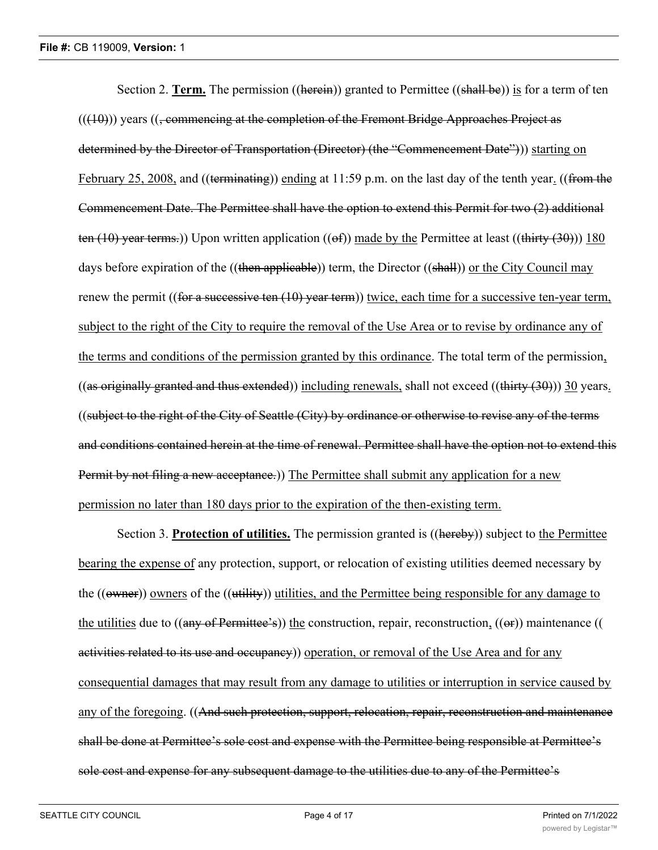Section 2. **Term.** The permission ((herein)) granted to Permittee ((shall be)) is for a term of ten  $((10))$  years  $((\text{-commencing at the completion of the French Bridge Approaches Project as$ determined by the Director of Transportation (Director) (the "Commencement Date"))) starting on February 25, 2008, and ((terminating)) ending at 11:59 p.m. on the last day of the tenth year. ((from the Commencement Date. The Permittee shall have the option to extend this Permit for two (2) additional ten (10) year terms.)) Upon written application (( $\Theta$ f)) made by the Permittee at least ((thirty (30))) 180 days before expiration of the ((then applicable)) term, the Director ((shall)) or the City Council may renew the permit ((for a successive ten (10) year term)) twice, each time for a successive ten-year term, subject to the right of the City to require the removal of the Use Area or to revise by ordinance any of the terms and conditions of the permission granted by this ordinance. The total term of the permission, ((as originally granted and thus extended)) including renewals, shall not exceed ((thirty  $(30)$ )) 30 years. ((subject to the right of the City of Seattle (City) by ordinance or otherwise to revise any of the terms and conditions contained herein at the time of renewal. Permittee shall have the option not to extend this Permit by not filing a new acceptance.)) The Permittee shall submit any application for a new permission no later than 180 days prior to the expiration of the then-existing term.

Section 3. **Protection of utilities.** The permission granted is ((hereby)) subject to the Permittee bearing the expense of any protection, support, or relocation of existing utilities deemed necessary by the ((owner)) owners of the ((utility)) utilities, and the Permittee being responsible for any damage to the utilities due to ((any of Permittee's)) the construction, repair, reconstruction, ((or)) maintenance (( activities related to its use and occupancy) operation, or removal of the Use Area and for any consequential damages that may result from any damage to utilities or interruption in service caused by any of the foregoing. ((And such protection, support, relocation, repair, reconstruction and maintenance shall be done at Permittee's sole cost and expense with the Permittee being responsible at Permittee's sole cost and expense for any subsequent damage to the utilities due to any of the Permittee's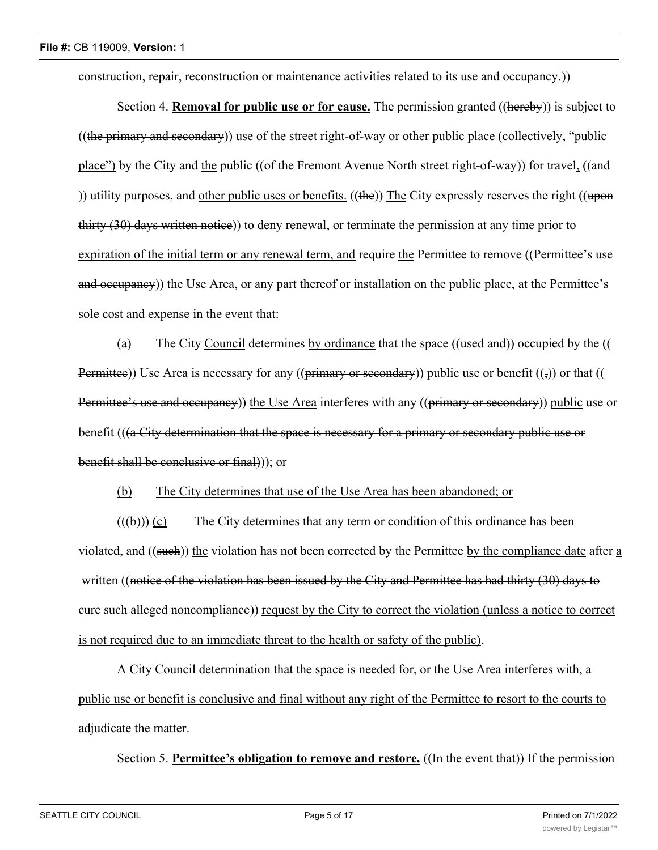construction, repair, reconstruction or maintenance activities related to its use and occupancy.))

Section 4. **Removal for public use or for cause.** The permission granted ((hereby)) is subject to  $((the primary and secondary))$  use of the street right-of-way or other public place (collectively, "public place") by the City and the public ((of the Fremont Avenue North street right-of-way)) for travel, ((and )) utility purposes, and other public uses or benefits.  $((the))$  The City expressly reserves the right  $((\text{upon})$ thirty (30) days written notice)) to deny renewal, or terminate the permission at any time prior to expiration of the initial term or any renewal term, and require the Permittee to remove ((Permittee's use and occupancy)) the Use Area, or any part thereof or installation on the public place, at the Permittee's sole cost and expense in the event that:

(a) The City Council determines by ordinance that the space  $((\text{used and}))$  occupied by the  $(($ Permittee)) Use Area is necessary for any ((primary or secondary)) public use or benefit  $((\tau))$  or that (( Permittee's use and occupancy)) the Use Area interferes with any ((primary or secondary)) public use or benefit (((a City determination that the space is necessary for a primary or secondary public use or benefit shall be conclusive or final))); or

(b) The City determines that use of the Use Area has been abandoned; or

 $((\forall b))$  (c) The City determines that any term or condition of this ordinance has been violated, and ((such)) the violation has not been corrected by the Permittee by the compliance date after a written ((notice of the violation has been issued by the City and Permittee has had thirty (30) days to cure such alleged noncompliance)) request by the City to correct the violation (unless a notice to correct is not required due to an immediate threat to the health or safety of the public).

A City Council determination that the space is needed for, or the Use Area interferes with, a public use or benefit is conclusive and final without any right of the Permittee to resort to the courts to adjudicate the matter.

Section 5. **Permittee's obligation to remove and restore.** ((In the event that)) If the permission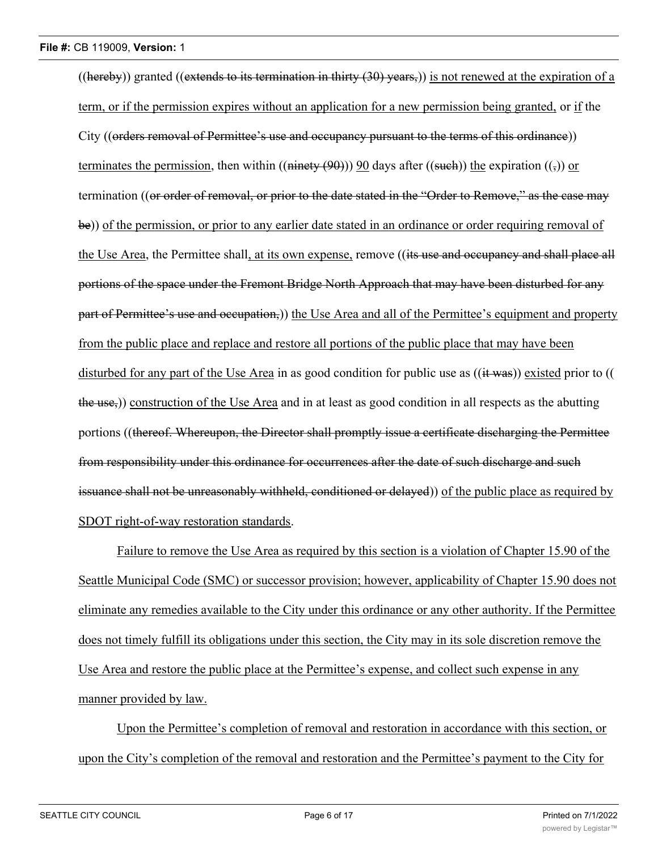((hereby)) granted ((extends to its termination in thirty  $(30)$  years,)) is not renewed at the expiration of a term, or if the permission expires without an application for a new permission being granted, or if the City ((orders removal of Permittee's use and occupancy pursuant to the terms of this ordinance)) terminates the permission, then within (( $\overline{n}$ ) ( $\overline{n}$ )) 90 days after (( $\overline{s}$ )) the expiration (( $\overline{s}$ )) or termination ((or order of removal, or prior to the date stated in the "Order to Remove," as the case may be)) of the permission, or prior to any earlier date stated in an ordinance or order requiring removal of the Use Area, the Permittee shall, at its own expense, remove ((its use and occupancy and shall place all portions of the space under the Fremont Bridge North Approach that may have been disturbed for any part of Permittee's use and occupation,)) the Use Area and all of the Permittee's equipment and property from the public place and replace and restore all portions of the public place that may have been disturbed for any part of the Use Area in as good condition for public use as ((it was)) existed prior to (( the use,)) construction of the Use Area and in at least as good condition in all respects as the abutting portions ((thereof. Whereupon, the Director shall promptly issue a certificate discharging the Permittee from responsibility under this ordinance for occurrences after the date of such discharge and such issuance shall not be unreasonably withheld, conditioned or delayed)) of the public place as required by SDOT right-of-way restoration standards.

Failure to remove the Use Area as required by this section is a violation of Chapter 15.90 of the Seattle Municipal Code (SMC) or successor provision; however, applicability of Chapter 15.90 does not eliminate any remedies available to the City under this ordinance or any other authority. If the Permittee does not timely fulfill its obligations under this section, the City may in its sole discretion remove the Use Area and restore the public place at the Permittee's expense, and collect such expense in any manner provided by law.

Upon the Permittee's completion of removal and restoration in accordance with this section, or upon the City's completion of the removal and restoration and the Permittee's payment to the City for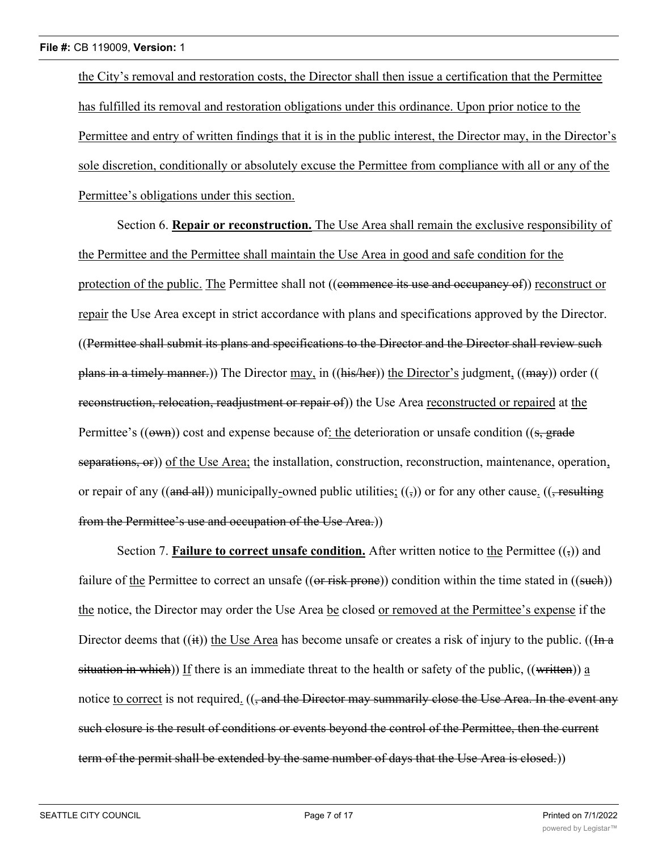the City's removal and restoration costs, the Director shall then issue a certification that the Permittee has fulfilled its removal and restoration obligations under this ordinance. Upon prior notice to the Permittee and entry of written findings that it is in the public interest, the Director may, in the Director's sole discretion, conditionally or absolutely excuse the Permittee from compliance with all or any of the Permittee's obligations under this section.

Section 6. **Repair or reconstruction.** The Use Area shall remain the exclusive responsibility of the Permittee and the Permittee shall maintain the Use Area in good and safe condition for the protection of the public. The Permittee shall not ((commence its use and occupancy of)) reconstruct or repair the Use Area except in strict accordance with plans and specifications approved by the Director. ((Permittee shall submit its plans and specifications to the Director and the Director shall review such plans in a timely manner.)) The Director may, in ((his/her)) the Director's judgment, ((may)) order (( reconstruction, relocation, readjustment or repair of)) the Use Area reconstructed or repaired at the Permittee's  $((own))$  cost and expense because of: the deterioration or unsafe condition  $((s, grade)$ separations, or)) of the Use Area; the installation, construction, reconstruction, maintenance, operation, or repair of any ((and all)) municipally-owned public utilities;  $((\tau))$  or for any other cause. (( $\tau$  resulting from the Permittee's use and occupation of the Use Area.))

Section 7. **Failure to correct unsafe condition.** After written notice to the Permittee  $((\tau))$  and failure of the Permittee to correct an unsafe ((or risk prone)) condition within the time stated in ((such)) the notice, the Director may order the Use Area be closed or removed at the Permittee's expense if the Director deems that  $((ii))$  the Use Area has become unsafe or creates a risk of injury to the public.  $((In a)$ situation in which)) If there is an immediate threat to the health or safety of the public, ((written)) a notice to correct is not required. ((, and the Director may summarily close the Use Area. In the event any such closure is the result of conditions or events beyond the control of the Permittee, then the current term of the permit shall be extended by the same number of days that the Use Area is closed.)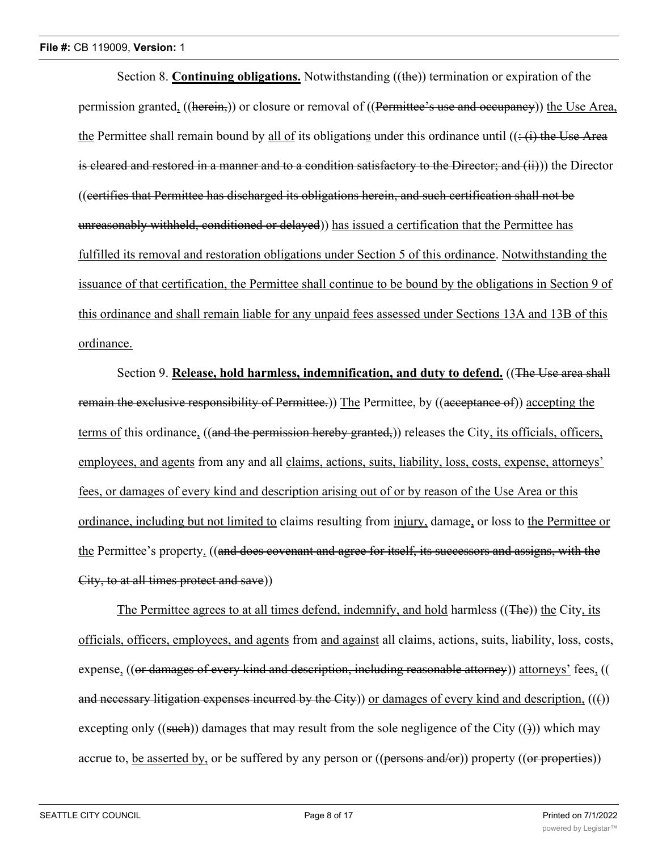Section 8. **Continuing obligations.** Notwithstanding ((the)) termination or expiration of the permission granted, ((herein,)) or closure or removal of ((Permittee's use and occupancy)) the Use Area, the Permittee shall remain bound by all of its obligations under this ordinance until  $((\div(i)$  the Use Area is cleared and restored in a manner and to a condition satisfactory to the Director; and (ii)) the Director ((certifies that Permittee has discharged its obligations herein, and such certification shall not be unreasonably withheld, conditioned or delayed)) has issued a certification that the Permittee has fulfilled its removal and restoration obligations under Section 5 of this ordinance. Notwithstanding the issuance of that certification, the Permittee shall continue to be bound by the obligations in Section 9 of this ordinance and shall remain liable for any unpaid fees assessed under Sections 13A and 13B of this ordinance.

Section 9. **Release, hold harmless, indemnification, and duty to defend.** ((The Use area shall remain the exclusive responsibility of Permittee.) The Permittee, by ((acceptance of)) accepting the terms of this ordinance, ((and the permission hereby granted,)) releases the City, its officials, officers, employees, and agents from any and all claims, actions, suits, liability, loss, costs, expense, attorneys' fees, or damages of every kind and description arising out of or by reason of the Use Area or this ordinance, including but not limited to claims resulting from injury, damage, or loss to the Permittee or the Permittee's property. ((and does covenant and agree for itself, its successors and assigns, with the City, to at all times protect and save))

The Permittee agrees to at all times defend, indemnify, and hold harmless ((The)) the City, its officials, officers, employees, and agents from and against all claims, actions, suits, liability, loss, costs, expense, ((or damages of every kind and description, including reasonable attorney)) attorneys' fees, (( and necessary litigation expenses incurred by the City)) or damages of every kind and description,  $((f))$ excepting only ((such)) damages that may result from the sole negligence of the City (())) which may accrue to, be asserted by, or be suffered by any person or  $((\overline{\text{persons and/or}}))$  property  $((\overline{\text{or properties}}))$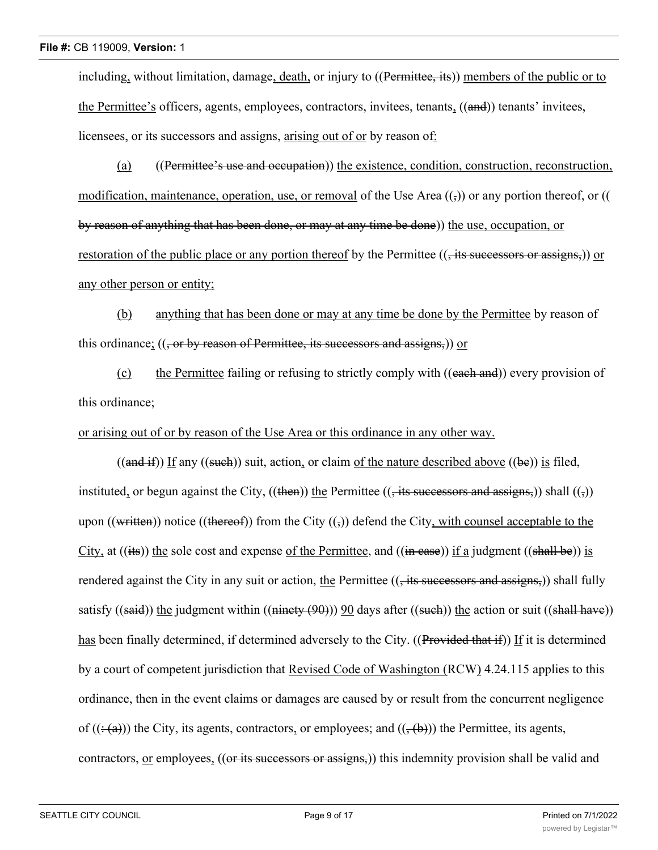including, without limitation, damage, death, or injury to ((Permittee, its)) members of the public or to the Permittee's officers, agents, employees, contractors, invitees, tenants, ((and)) tenants' invitees, licensees, or its successors and assigns, arising out of or by reason of:

(a) ((Permittee's use and occupation)) the existence, condition, construction, reconstruction, modification, maintenance, operation, use, or removal of the Use Area  $((,))$  or any portion thereof, or (( by reason of anything that has been done, or may at any time be done)) the use, occupation, or restoration of the public place or any portion thereof by the Permittee ((, its successors or assigns,)) or any other person or entity;

(b) anything that has been done or may at any time be done by the Permittee by reason of this ordinance;  $((, or by reason of Permitted, its successors and assigns,))$  or

(c) the Permittee failing or refusing to strictly comply with ((each and)) every provision of this ordinance;

or arising out of or by reason of the Use Area or this ordinance in any other way.

 $((and if))$  If any  $((such))$  suit, action, or claim of the nature described above  $((be))$  is filed, instituted, or begun against the City,  $((then))$  the Permittee  $((, its *successors* and *assigns*))$  shall  $((,))$ upon ((written)) notice ((thereof)) from the City  $((\tau))$  defend the City, with counsel acceptable to the City, at  $((its))$  the sole cost and expense of the Permittee, and  $((in case))$  if a judgment  $((shall be))$  is rendered against the City in any suit or action, the Permittee  $((, its successors and assigns,))$  shall fully satisfy ((said)) the judgment within ((ninety  $(90)$ )) 90 days after ((such)) the action or suit ((shall have)) has been finally determined, if determined adversely to the City. ((Provided that if)) If it is determined by a court of competent jurisdiction that Revised Code of Washington (RCW) 4.24.115 applies to this ordinance, then in the event claims or damages are caused by or result from the concurrent negligence of  $((\div(a)))$  the City, its agents, contractors, or employees; and  $((\div(b)))$  the Permittee, its agents, contractors, or employees, ((or its successors or assigns,)) this indemnity provision shall be valid and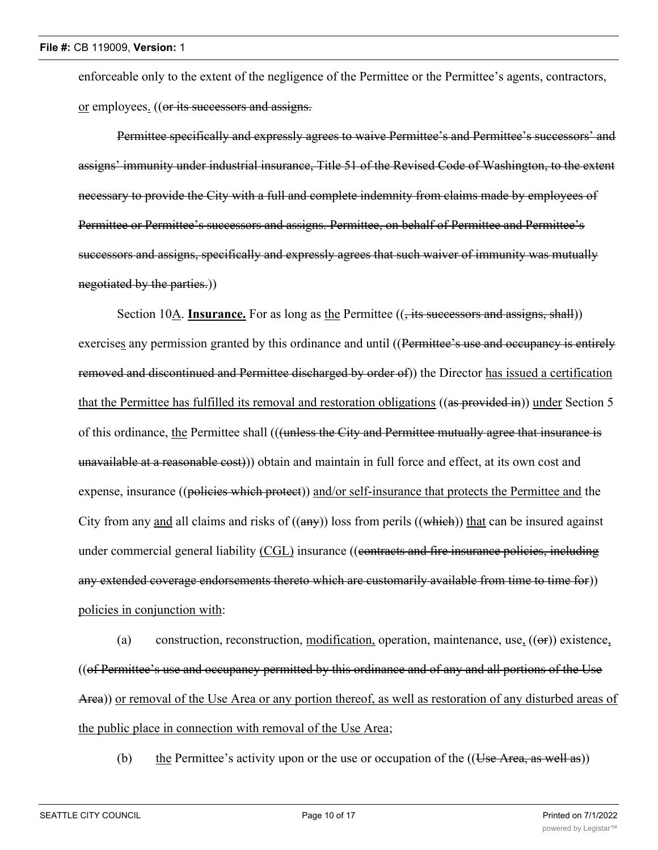enforceable only to the extent of the negligence of the Permittee or the Permittee's agents, contractors, or employees. ((or its successors and assigns.

Permittee specifically and expressly agrees to waive Permittee's and Permittee's successors' and assigns' immunity under industrial insurance, Title 51 of the Revised Code of Washington, to the extent necessary to provide the City with a full and complete indemnity from claims made by employees of Permittee or Permittee's successors and assigns. Permittee, on behalf of Permittee and Permittee's successors and assigns, specifically and expressly agrees that such waiver of immunity was mutually negotiated by the parties.))

Section 10A. **Insurance.** For as long as the Permittee ((, its successors and assigns, shall)) exercises any permission granted by this ordinance and until ((Permittee's use and occupancy is entirely removed and discontinued and Permittee discharged by order of)) the Director has issued a certification that the Permittee has fulfilled its removal and restoration obligations ((as provided in)) under Section 5 of this ordinance, the Permittee shall (((unless the City and Permittee mutually agree that insurance is unavailable at a reasonable cost))) obtain and maintain in full force and effect, at its own cost and expense, insurance ((policies which protect)) and/or self-insurance that protects the Permittee and the City from any and all claims and risks of  $((any))$  loss from perils  $((which))$  that can be insured against under commercial general liability (CGL) insurance ((eontracts and fire insurance policies, including any extended coverage endorsements thereto which are customarily available from time to time for)) policies in conjunction with:

(a) construction, reconstruction, modification, operation, maintenance, use,  $((\Theta \mathbf{r}))$  existence, ((of Permittee's use and occupancy permitted by this ordinance and of any and all portions of the Use Area)) or removal of the Use Area or any portion thereof, as well as restoration of any disturbed areas of the public place in connection with removal of the Use Area;

(b) the Permittee's activity upon or the use or occupation of the  $((Use Area, as well as))$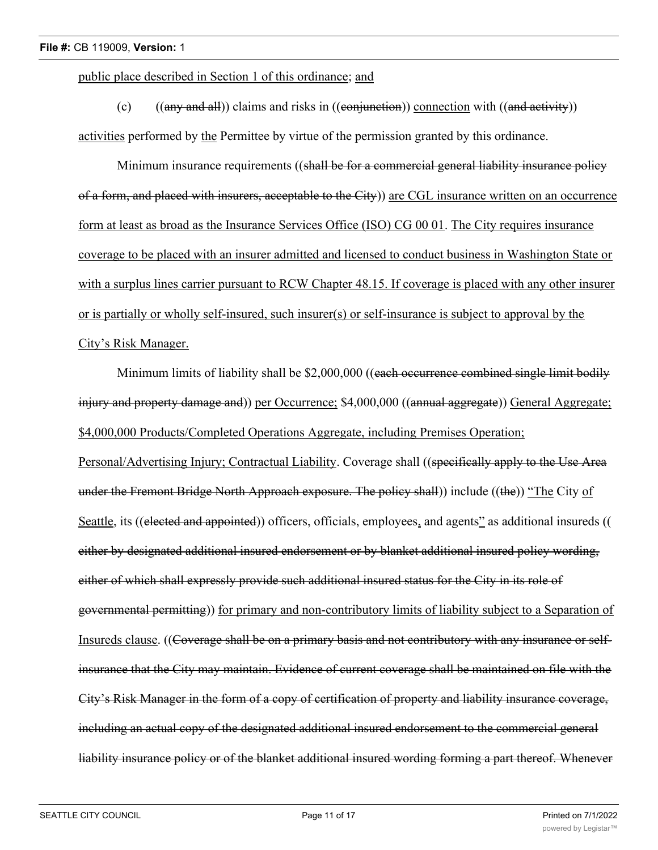public place described in Section 1 of this ordinance; and

(c)  $((any and all))$  claims and risks in  $((conjunction))$  connection with  $((and activity))$ activities performed by the Permittee by virtue of the permission granted by this ordinance.

Minimum insurance requirements ((shall be for a commercial general liability insurance policy of a form, and placed with insurers, acceptable to the City)) are CGL insurance written on an occurrence form at least as broad as the Insurance Services Office (ISO) CG 00 01. The City requires insurance coverage to be placed with an insurer admitted and licensed to conduct business in Washington State or with a surplus lines carrier pursuant to RCW Chapter 48.15. If coverage is placed with any other insurer or is partially or wholly self-insured, such insurer(s) or self-insurance is subject to approval by the City's Risk Manager.

Minimum limits of liability shall be \$2,000,000 ((each occurrence combined single limit bodily injury and property damage and)) per Occurrence; \$4,000,000 ((annual aggregate)) General Aggregate; \$4,000,000 Products/Completed Operations Aggregate, including Premises Operation;

Personal/Advertising Injury; Contractual Liability. Coverage shall ((specifically apply to the Use Area under the Fremont Bridge North Approach exposure. The policy shall) include ((the)) "The City of Seattle, its ((elected and appointed)) officers, officials, employees, and agents" as additional insureds (( either by designated additional insured endorsement or by blanket additional insured policy wording, either of which shall expressly provide such additional insured status for the City in its role of governmental permitting)) for primary and non-contributory limits of liability subject to a Separation of Insureds clause. ((Coverage shall be on a primary basis and not contributory with any insurance or selfinsurance that the City may maintain. Evidence of current coverage shall be maintained on file with the City's Risk Manager in the form of a copy of certification of property and liability insurance coverage, including an actual copy of the designated additional insured endorsement to the commercial general liability insurance policy or of the blanket additional insured wording forming a part thereof. Whenever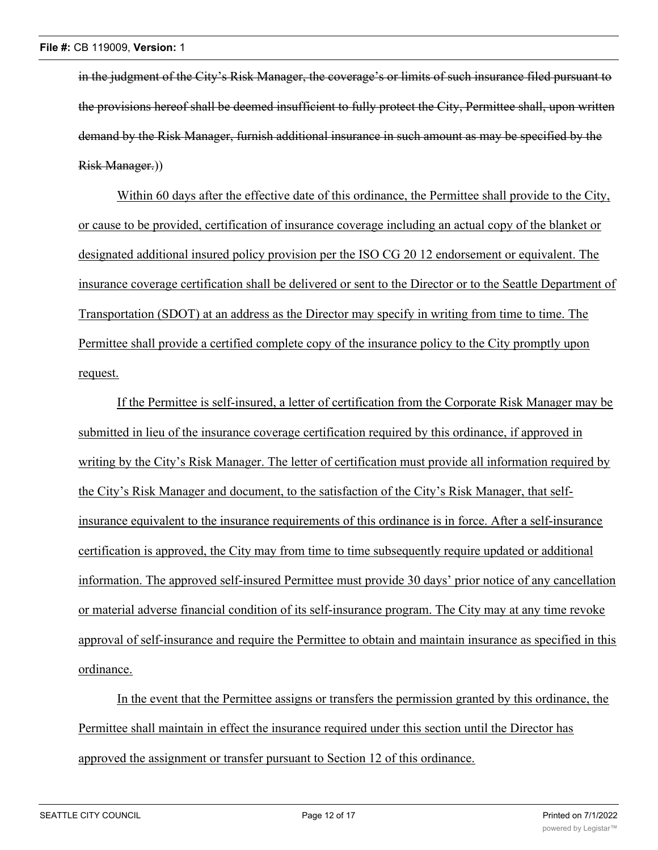in the judgment of the City's Risk Manager, the coverage's or limits of such insurance filed pursuant to the provisions hereof shall be deemed insufficient to fully protect the City, Permittee shall, upon written demand by the Risk Manager, furnish additional insurance in such amount as may be specified by the Risk Manager.))

Within 60 days after the effective date of this ordinance, the Permittee shall provide to the City, or cause to be provided, certification of insurance coverage including an actual copy of the blanket or designated additional insured policy provision per the ISO CG 20 12 endorsement or equivalent. The insurance coverage certification shall be delivered or sent to the Director or to the Seattle Department of Transportation (SDOT) at an address as the Director may specify in writing from time to time. The Permittee shall provide a certified complete copy of the insurance policy to the City promptly upon request.

If the Permittee is self-insured, a letter of certification from the Corporate Risk Manager may be submitted in lieu of the insurance coverage certification required by this ordinance, if approved in writing by the City's Risk Manager. The letter of certification must provide all information required by the City's Risk Manager and document, to the satisfaction of the City's Risk Manager, that selfinsurance equivalent to the insurance requirements of this ordinance is in force. After a self-insurance certification is approved, the City may from time to time subsequently require updated or additional information. The approved self-insured Permittee must provide 30 days' prior notice of any cancellation or material adverse financial condition of its self-insurance program. The City may at any time revoke approval of self-insurance and require the Permittee to obtain and maintain insurance as specified in this ordinance.

In the event that the Permittee assigns or transfers the permission granted by this ordinance, the Permittee shall maintain in effect the insurance required under this section until the Director has approved the assignment or transfer pursuant to Section 12 of this ordinance.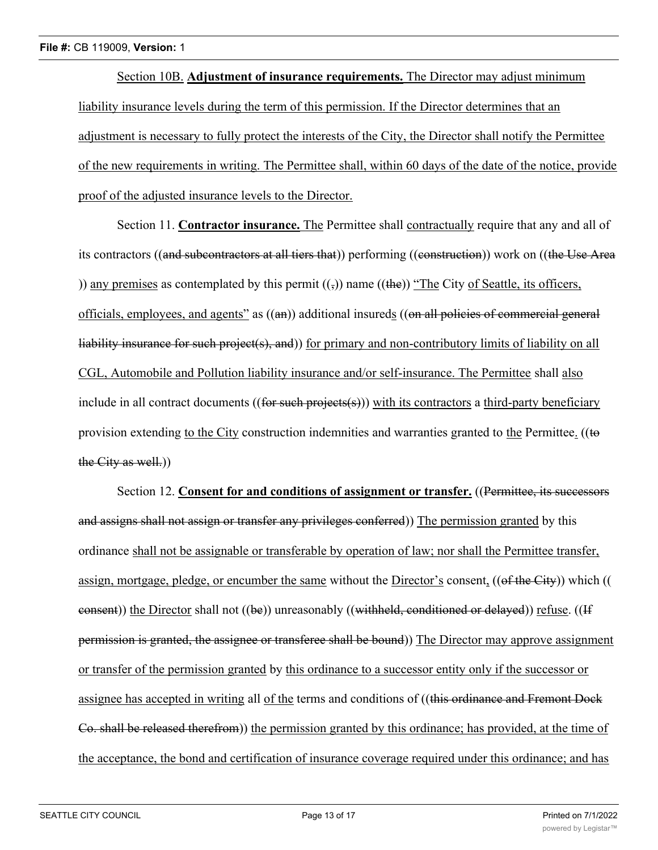Section 10B. **Adjustment of insurance requirements.** The Director may adjust minimum liability insurance levels during the term of this permission. If the Director determines that an adjustment is necessary to fully protect the interests of the City, the Director shall notify the Permittee of the new requirements in writing. The Permittee shall, within 60 days of the date of the notice, provide proof of the adjusted insurance levels to the Director.

Section 11. **Contractor insurance.** The Permittee shall contractually require that any and all of its contractors ((and subcontractors at all tiers that)) performing ((construction)) work on ((the Use Area )) any premises as contemplated by this permit  $(\overline{z})$  name ((the)) "The City of Seattle, its officers, officials, employees, and agents" as ((an)) additional insureds ((on all policies of commercial general liability insurance for such project(s), and)) for primary and non-contributory limits of liability on all CGL, Automobile and Pollution liability insurance and/or self-insurance. The Permittee shall also include in all contract documents ((for such projects(s))) with its contractors a third-party beneficiary provision extending to the City construction indemnities and warranties granted to the Permittee. ((to the City as well.))

Section 12. **Consent for and conditions of assignment or transfer.** ((Permittee, its successors and assigns shall not assign or transfer any privileges conferred)) The permission granted by this ordinance shall not be assignable or transferable by operation of law; nor shall the Permittee transfer, assign, mortgage, pledge, or encumber the same without the Director's consent, ((of the City)) which ((  $\epsilon$  consent)) the Director shall not ((be)) unreasonably ((withheld, conditioned or delayed)) refuse. ((If permission is granted, the assignee or transferee shall be bound)) The Director may approve assignment or transfer of the permission granted by this ordinance to a successor entity only if the successor or assignee has accepted in writing all of the terms and conditions of ((this ordinance and Fremont Dock Co. shall be released therefrom)) the permission granted by this ordinance; has provided, at the time of the acceptance, the bond and certification of insurance coverage required under this ordinance; and has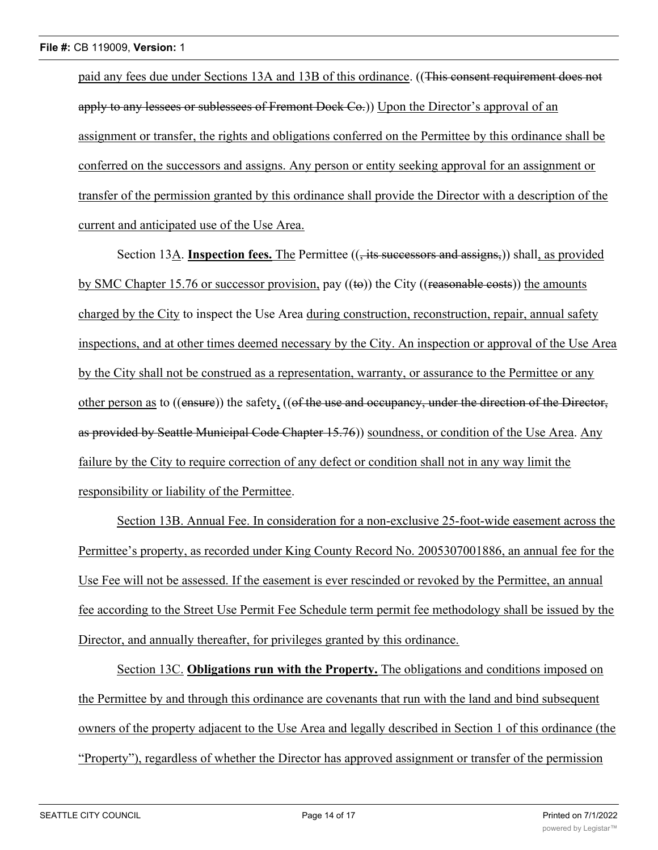paid any fees due under Sections 13A and 13B of this ordinance. ((This consent requirement does not apply to any lessees or sublessees of Fremont Dock Co.)) Upon the Director's approval of an assignment or transfer, the rights and obligations conferred on the Permittee by this ordinance shall be conferred on the successors and assigns. Any person or entity seeking approval for an assignment or transfer of the permission granted by this ordinance shall provide the Director with a description of the current and anticipated use of the Use Area.

Section 13A. **Inspection fees.** The Permittee (( $\frac{1}{1}$  its successors and assigns,)) shall, as provided by SMC Chapter 15.76 or successor provision, pay  $((\text{te}))$  the City  $((\text{reasonable costs}))$  the amounts charged by the City to inspect the Use Area during construction, reconstruction, repair, annual safety inspections, and at other times deemed necessary by the City. An inspection or approval of the Use Area by the City shall not be construed as a representation, warranty, or assurance to the Permittee or any other person as to ((ensure)) the safety, ((of the use and occupancy, under the direction of the Director, as provided by Seattle Municipal Code Chapter 15.76)) soundness, or condition of the Use Area. Any failure by the City to require correction of any defect or condition shall not in any way limit the responsibility or liability of the Permittee.

Section 13B. Annual Fee. In consideration for a non-exclusive 25-foot-wide easement across the Permittee's property, as recorded under King County Record No. 2005307001886, an annual fee for the Use Fee will not be assessed. If the easement is ever rescinded or revoked by the Permittee, an annual fee according to the Street Use Permit Fee Schedule term permit fee methodology shall be issued by the Director, and annually thereafter, for privileges granted by this ordinance.

Section 13C. **Obligations run with the Property.** The obligations and conditions imposed on the Permittee by and through this ordinance are covenants that run with the land and bind subsequent owners of the property adjacent to the Use Area and legally described in Section 1 of this ordinance (the "Property"), regardless of whether the Director has approved assignment or transfer of the permission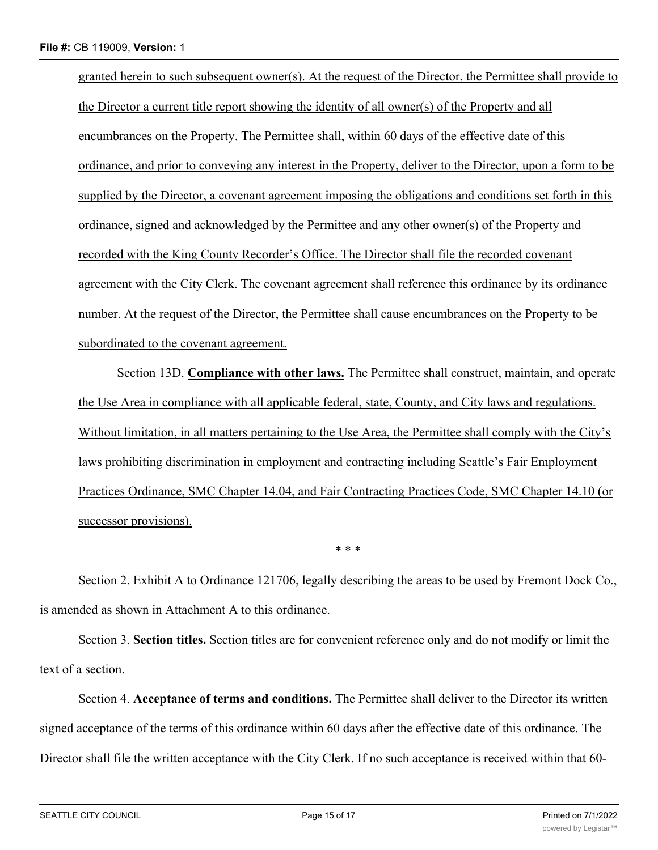granted herein to such subsequent owner(s). At the request of the Director, the Permittee shall provide to the Director a current title report showing the identity of all owner(s) of the Property and all encumbrances on the Property. The Permittee shall, within 60 days of the effective date of this ordinance, and prior to conveying any interest in the Property, deliver to the Director, upon a form to be supplied by the Director, a covenant agreement imposing the obligations and conditions set forth in this ordinance, signed and acknowledged by the Permittee and any other owner(s) of the Property and recorded with the King County Recorder's Office. The Director shall file the recorded covenant agreement with the City Clerk. The covenant agreement shall reference this ordinance by its ordinance number. At the request of the Director, the Permittee shall cause encumbrances on the Property to be subordinated to the covenant agreement.

Section 13D. **Compliance with other laws.** The Permittee shall construct, maintain, and operate the Use Area in compliance with all applicable federal, state, County, and City laws and regulations. Without limitation, in all matters pertaining to the Use Area, the Permittee shall comply with the City's laws prohibiting discrimination in employment and contracting including Seattle's Fair Employment Practices Ordinance, SMC Chapter 14.04, and Fair Contracting Practices Code, SMC Chapter 14.10 (or successor provisions).

\* \* \*

Section 2. Exhibit A to Ordinance 121706, legally describing the areas to be used by Fremont Dock Co., is amended as shown in Attachment A to this ordinance.

Section 3. **Section titles.** Section titles are for convenient reference only and do not modify or limit the text of a section.

Section 4. **Acceptance of terms and conditions.** The Permittee shall deliver to the Director its written signed acceptance of the terms of this ordinance within 60 days after the effective date of this ordinance. The Director shall file the written acceptance with the City Clerk. If no such acceptance is received within that 60-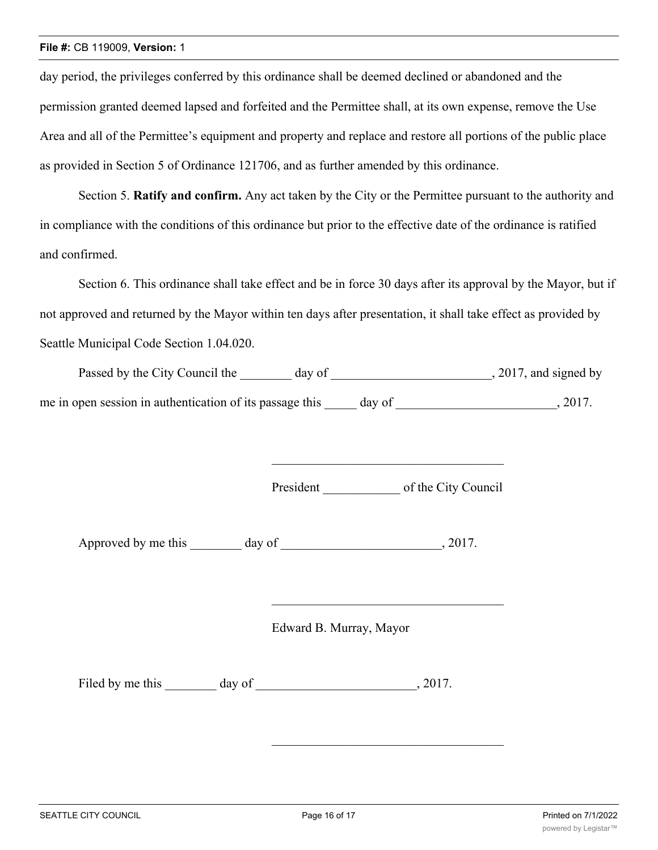#### **File #:** CB 119009, **Version:** 1

day period, the privileges conferred by this ordinance shall be deemed declined or abandoned and the permission granted deemed lapsed and forfeited and the Permittee shall, at its own expense, remove the Use Area and all of the Permittee's equipment and property and replace and restore all portions of the public place as provided in Section 5 of Ordinance 121706, and as further amended by this ordinance.

Section 5. **Ratify and confirm.** Any act taken by the City or the Permittee pursuant to the authority and in compliance with the conditions of this ordinance but prior to the effective date of the ordinance is ratified and confirmed.

Section 6. This ordinance shall take effect and be in force 30 days after its approval by the Mayor, but if not approved and returned by the Mayor within ten days after presentation, it shall take effect as provided by Seattle Municipal Code Section 1.04.020.

| Passed by the City Council the                           | day of |        | , 2017, and signed by |
|----------------------------------------------------------|--------|--------|-----------------------|
| me in open session in authentication of its passage this |        | day of | 2017.                 |

President of the City Council

Approved by me this day of  $\qquad \qquad$ , 2017.

Edward B. Murray, Mayor

Filed by me this day of  $\frac{1}{2017}$ .